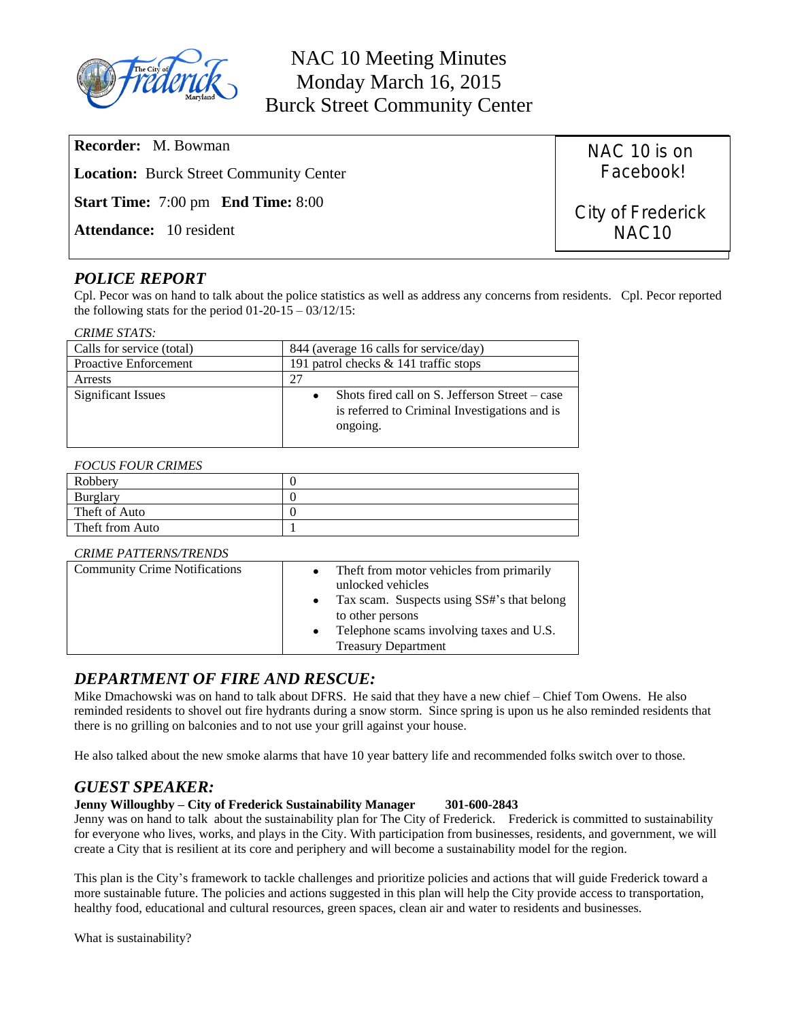

| <b>Recorder:</b> M. Bowman                                   | NAC 10 is on      |
|--------------------------------------------------------------|-------------------|
| <b>Location:</b> Burck Street Community Center               | Facebook!         |
| <b>Start Time:</b> $7:00 \text{ pm}$ <b>End Time:</b> $8:00$ | City of Frederick |
| <b>Attendance:</b> 10 resident                               | NAC <sub>10</sub> |

# *POLICE REPORT*

Cpl. Pecor was on hand to talk about the police statistics as well as address any concerns from residents. Cpl. Pecor reported the following stats for the period  $01-20-15-03/12/15$ :

### *CRIME STATS:*

| Calls for service (total)    | 844 (average 16 calls for service/day)                                                                      |  |  |
|------------------------------|-------------------------------------------------------------------------------------------------------------|--|--|
| <b>Proactive Enforcement</b> | 191 patrol checks $\&$ 141 traffic stops                                                                    |  |  |
| Arrests                      | 27                                                                                                          |  |  |
| Significant Issues           | Shots fired call on S. Jefferson Street – case<br>is referred to Criminal Investigations and is<br>ongoing. |  |  |

### *FOCUS FOUR CRIMES*

| Robbery         |  |
|-----------------|--|
| Burglary        |  |
| Theft of Auto   |  |
| Theft from Auto |  |

### *CRIME PATTERNS/TRENDS*

| <b>Community Crime Notifications</b> | Theft from motor vehicles from primarily<br>$\bullet$<br>unlocked vehicles<br>Tax scam. Suspects using SS#'s that belong<br>to other persons<br>Telephone scams involving taxes and U.S.<br>$\bullet$<br><b>Treasury Department</b> |
|--------------------------------------|-------------------------------------------------------------------------------------------------------------------------------------------------------------------------------------------------------------------------------------|
|--------------------------------------|-------------------------------------------------------------------------------------------------------------------------------------------------------------------------------------------------------------------------------------|

## *DEPARTMENT OF FIRE AND RESCUE:*

Mike Dmachowski was on hand to talk about DFRS. He said that they have a new chief – Chief Tom Owens. He also reminded residents to shovel out fire hydrants during a snow storm. Since spring is upon us he also reminded residents that there is no grilling on balconies and to not use your grill against your house.

He also talked about the new smoke alarms that have 10 year battery life and recommended folks switch over to those.

## *GUEST SPEAKER:*

### **Jenny Willoughby – City of Frederick Sustainability Manager 301-600-2843**

Jenny was on hand to talk about the sustainability plan for The City of Frederick. Frederick is committed to sustainability for everyone who lives, works, and plays in the City. With participation from businesses, residents, and government, we will create a City that is resilient at its core and periphery and will become a sustainability model for the region.

This plan is the City's framework to tackle challenges and prioritize policies and actions that will guide Frederick toward a more sustainable future. The policies and actions suggested in this plan will help the City provide access to transportation, healthy food, educational and cultural resources, green spaces, clean air and water to residents and businesses.

What is sustainability?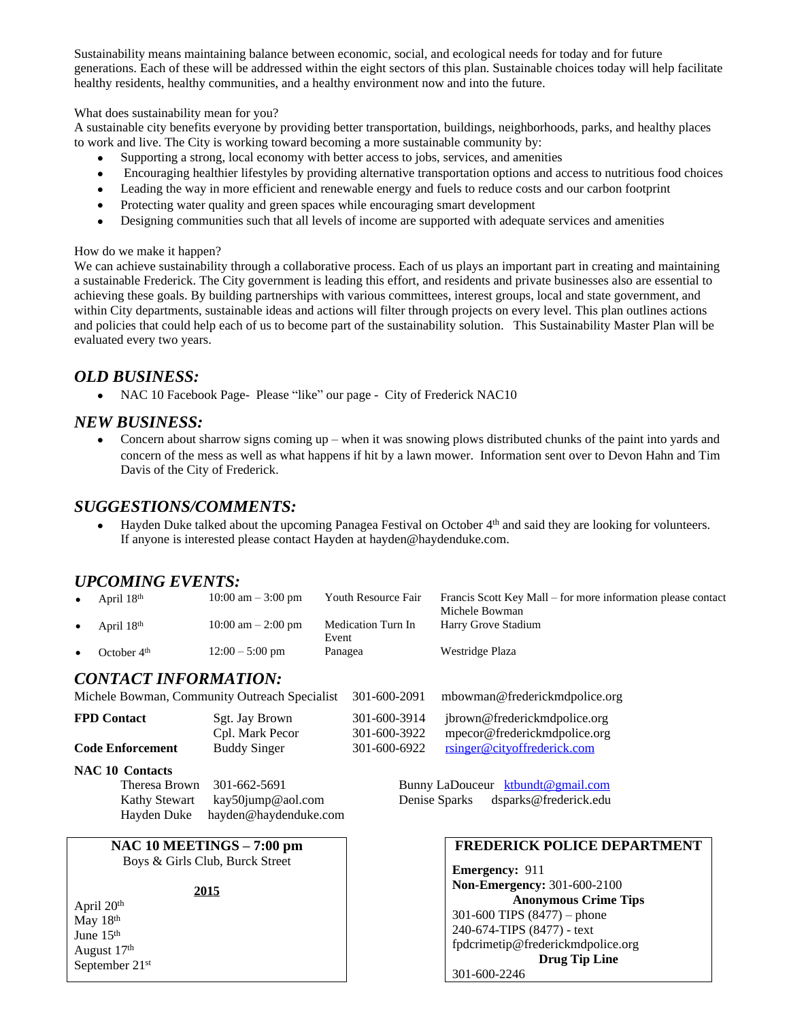Sustainability means maintaining balance between economic, social, and ecological needs for today and for future generations. Each of these will be addressed within the eight sectors of this plan. Sustainable choices today will help facilitate healthy residents, healthy communities, and a healthy environment now and into the future.

What does sustainability mean for you?

A sustainable city benefits everyone by providing better transportation, buildings, neighborhoods, parks, and healthy places to work and live. The City is working toward becoming a more sustainable community by:

- Supporting a strong, local economy with better access to jobs, services, and amenities
- Encouraging healthier lifestyles by providing alternative transportation options and access to nutritious food choices
- Leading the way in more efficient and renewable energy and fuels to reduce costs and our carbon footprint
- Protecting water quality and green spaces while encouraging smart development
- Designing communities such that all levels of income are supported with adequate services and amenities

### How do we make it happen?

We can achieve sustainability through a collaborative process. Each of us plays an important part in creating and maintaining a sustainable Frederick. The City government is leading this effort, and residents and private businesses also are essential to achieving these goals. By building partnerships with various committees, interest groups, local and state government, and within City departments, sustainable ideas and actions will filter through projects on every level. This plan outlines actions and policies that could help each of us to become part of the sustainability solution. This Sustainability Master Plan will be evaluated every two years.

## *OLD BUSINESS:*

• NAC 10 Facebook Page- Please "like" our page - City of Frederick NAC10

## *NEW BUSINESS:*

• Concern about sharrow signs coming up – when it was snowing plows distributed chunks of the paint into yards and concern of the mess as well as what happens if hit by a lawn mower. Information sent over to Devon Hahn and Tim Davis of the City of Frederick.

## *SUGGESTIONS/COMMENTS:*

 $\bullet$  Hayden Duke talked about the upcoming Panagea Festival on October  $4<sup>th</sup>$  and said they are looking for volunteers. If anyone is interested please contact Hayden at hayden@haydenduke.com.

## *UPCOMING EVENTS:*

|   | April 18 <sup>th</sup> | $10:00 \text{ am} - 3:00 \text{ pm}$ | Youth Resource Fair         | Francis Scott Key Mall – for more information please contact<br>Michele Bowman |
|---|------------------------|--------------------------------------|-----------------------------|--------------------------------------------------------------------------------|
|   | April 18 <sup>th</sup> | $10:00 \text{ am} - 2:00 \text{ pm}$ | Medication Turn In<br>Event | Harry Grove Stadium                                                            |
| ٠ | October $4th$          | $12:00 - 5:00$ pm                    | Panagea                     | Westridge Plaza                                                                |

## *CONTACT INFORMATION:*

Michele Bowman, Community Outreach Specialist 301-600-2091 mbowman@frederickmdpolice.org

| <b>FPD</b> Contact      | Sgt. Jay Brown      | 301-600-3914 | ibrown@frederickmdpolice.org |
|-------------------------|---------------------|--------------|------------------------------|
|                         | Cpl. Mark Pecor     | 301-600-3922 | mpecor@frederickmdpolice.org |
| <b>Code Enforcement</b> | <b>Buddy Singer</b> | 301-600-6922 | rsinger@cityoffrederick.com  |

### **NAC 10 Contacts**

Theresa Brown 301-662-5691 Bunny LaDouceur [ktbundt@gmail.com](mailto:ktbundt@gmail.com) Kathy Stewart [kay50jump@aol.com](mailto:kay50jump@aol.com) Denise Sparks dsparks@frederick.edu Hayden Duke hayden@haydenduke.com [hayden@haydenduke.com](mailto:hayden@haydenduke.com)

## **NAC 10 MEETINGS – 7:00 pm** Boys & Girls Club, Burck Street

#### **2015**

April 20th May 18<sup>th</sup> June 15<sup>th</sup> August 17th September 21st

### **FREDERICK POLICE DEPARTMENT**

**Emergency:** 911 **Non-Emergency:** 301-600-2100 **Anonymous Crime Tips** 301-600 TIPS (8477) – phone 240-674-TIPS (8477) - text [fpdcrimetip@frederickmdpolice.org](mailto:fpdcrimetip@frederickmdpolice.org) **Drug Tip Line** 301-600-2246